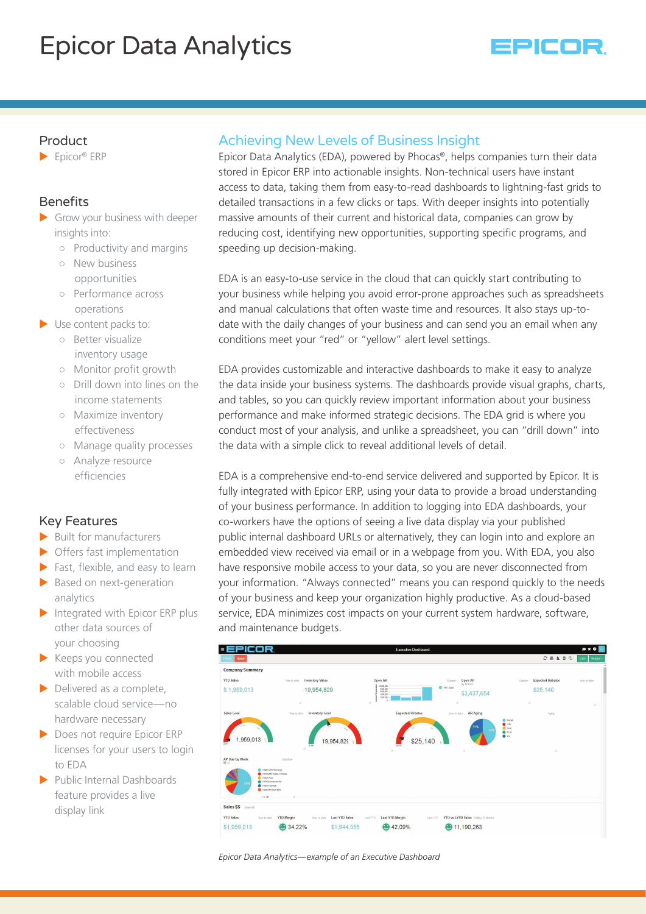# Epicor Data Analytics



## Product

 $\blacktriangleright$  Epicor® ERP

## **Benefits**

- $\blacktriangleright$  Grow your business with deeper insights into:
	- Productivity and margins
	- New business opportunities
	- Performance across operations
- $\blacktriangleright$  Use content packs to:
	- Better visualize inventory usage
	- Monitor profit growth
	- Drill down into lines on the income statements
	- Maximize inventory effectiveness
	- Manage quality processes
	- Analyze resource efficiencies

# Key Features

- $\blacktriangleright$  Built for manufacturers
- $\triangleright$  Offers fast implementation
- $\blacktriangleright$  Fast, flexible, and easy to learn
- $\blacktriangleright$  Based on next-generation analytics
- $\blacktriangleright$  Integrated with Epicor ERP plus other data sources of your choosing
- $\blacktriangleright$  Keeps you connected with mobile access
- $\triangleright$  Delivered as a complete, scalable cloud service—no hardware necessary
- ▶ Does not require Epicor ERP licenses for your users to login to EDA
- $\blacktriangleright$  Public Internal Dashboards feature provides a live display link

# Achieving New Levels of Business Insight

Epicor Data Analytics (EDA), powered by Phocas®, helps companies turn their data stored in Epicor ERP into actionable insights. Non-technical users have instant access to data, taking them from easy-to-read dashboards to lightning-fast grids to detailed transactions in a few clicks or taps. With deeper insights into potentially massive amounts of their current and historical data, companies can grow by reducing cost, identifying new opportunities, supporting specific programs, and speeding up decision-making.

EDA is an easy-to-use service in the cloud that can quickly start contributing to your business while helping you avoid error-prone approaches such as spreadsheets and manual calculations that often waste time and resources. It also stays up-todate with the daily changes of your business and can send you an email when any conditions meet your "red" or "yellow" alert level settings.

EDA provides customizable and interactive dashboards to make it easy to analyze the data inside your business systems. The dashboards provide visual graphs, charts, and tables, so you can quickly review important information about your business performance and make informed strategic decisions. The EDA grid is where you conduct most of your analysis, and unlike a spreadsheet, you can "drill down" into the data with a simple click to reveal additional levels of detail.

EDA is a comprehensive end-to-end service delivered and supported by Epicor. It is fully integrated with Epicor ERP, using your data to provide a broad understanding of your business performance. In addition to logging into EDA dashboards, your co-workers have the options of seeing a live data display via your published public internal dashboard URLs or alternatively, they can login into and explore an embedded view received via email or in a webpage from you. With EDA, you also have responsive mobile access to your data, so you are never disconnected from your information. "Always connected" means you can respond quickly to the needs of your business and keep your organization highly productive. As a cloud-based service, EDA minimizes cost impacts on your current system hardware, software, and maintenance budgets.



*Epicor Data Analytics—example of an Executive Dashboard*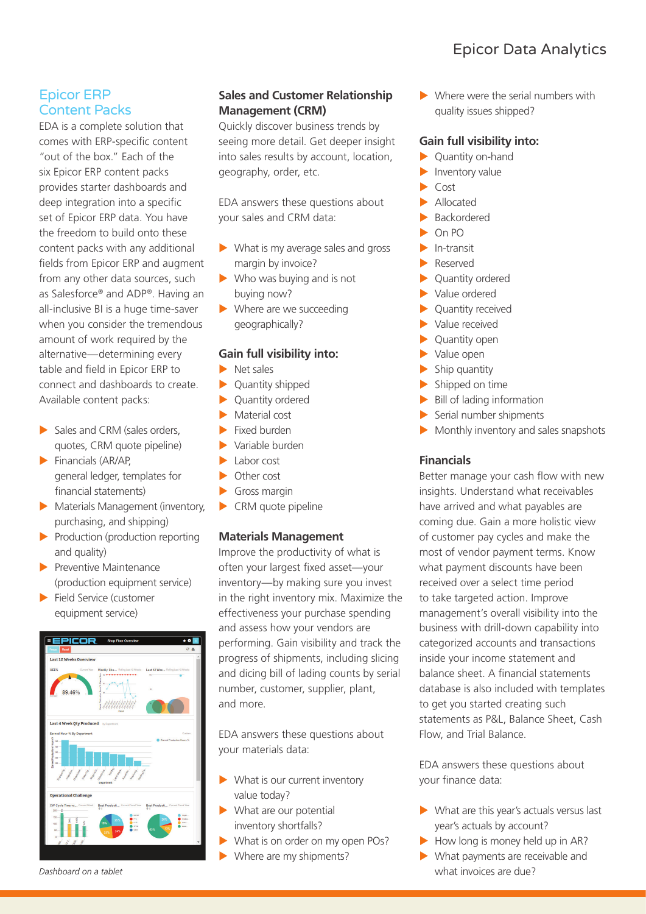# Epicor Data Analytics

## Epicor ERP Content Packs

EDA is a complete solution that comes with ERP-specific content "out of the box." Each of the six Epicor ERP content packs provides starter dashboards and deep integration into a specific set of Epicor ERP data. You have the freedom to build onto these content packs with any additional fields from Epicor ERP and augment from any other data sources, such as Salesforce® and ADP®. Having an all-inclusive BI is a huge time-saver when you consider the tremendous amount of work required by the alternative—determining every table and field in Epicor ERP to connect and dashboards to create. Available content packs:

- $\blacktriangleright$  Sales and CRM (sales orders, quotes, CRM quote pipeline)
- $\blacktriangleright$  Financials (AR/AP, general ledger, templates for financial statements)
- $\blacktriangleright$  Materials Management (inventory, purchasing, and shipping)
- $\blacktriangleright$  Production (production reporting and quality)
- $\blacktriangleright$  Preventive Maintenance (production equipment service)
- $\blacktriangleright$  Field Service (customer equipment service)



## **Sales and Customer Relationship Management (CRM)**

Quickly discover business trends by seeing more detail. Get deeper insight into sales results by account, location, geography, order, etc.

EDA answers these questions about your sales and CRM data:

- $\blacktriangleright$  What is my average sales and gross margin by invoice?
- $\blacktriangleright$  Who was buying and is not buying now?
- $\blacktriangleright$  Where are we succeeding geographically?

#### **Gain full visibility into:**

- $\blacktriangleright$  Net sales
- $\blacktriangleright$  Quantity shipped
- $\blacktriangleright$  Quantity ordered
- Material cost
- $\blacktriangleright$  Fixed burden
- Variable burden
- $\blacktriangleright$  Labor cost
- $\triangleright$  Other cost
- $\blacktriangleright$  Gross margin
- $\blacktriangleright$  CRM quote pipeline

#### **Materials Management**

Improve the productivity of what is often your largest fixed asset—your inventory—by making sure you invest in the right inventory mix. Maximize the effectiveness your purchase spending and assess how your vendors are performing. Gain visibility and track the progress of shipments, including slicing and dicing bill of lading counts by serial number, customer, supplier, plant, and more.

EDA answers these questions about your materials data:

- $\blacktriangleright$  What is our current inventory value today?
- $\blacktriangleright$  What are our potential inventory shortfalls?
- What is on order on my open POs?
- Where are my shipments?

 $\blacktriangleright$  Where were the serial numbers with quality issues shipped?

#### **Gain full visibility into:**

- $\blacktriangleright$  Quantity on-hand
- Inventory value
- $Cost$
- X Allocated
- **Backordered**
- $On PO$
- $\blacktriangleright$  In-transit
- **Reserved**
- Quantity ordered
- Value ordered
- Quantity received
- Value received
- Quantity open
- Value open
- $\blacktriangleright$  Ship quantity
- $\blacktriangleright$  Shipped on time
- $\blacktriangleright$  Bill of lading information
- Serial number shipments
- $\blacktriangleright$  Monthly inventory and sales snapshots

#### **Financials**

Better manage your cash flow with new insights. Understand what receivables have arrived and what payables are coming due. Gain a more holistic view of customer pay cycles and make the most of vendor payment terms. Know what payment discounts have been received over a select time period to take targeted action. Improve management's overall visibility into the business with drill-down capability into categorized accounts and transactions inside your income statement and balance sheet. A financial statements database is also included with templates to get you started creating such statements as P&L, Balance Sheet, Cash Flow, and Trial Balance.

EDA answers these questions about your finance data:

- $\blacktriangleright$  What are this vear's actuals versus last year's actuals by account?
- How long is money held up in AR?
- $\blacktriangleright$  What payments are receivable and what invoices are due?

*Dashboard on a tablet*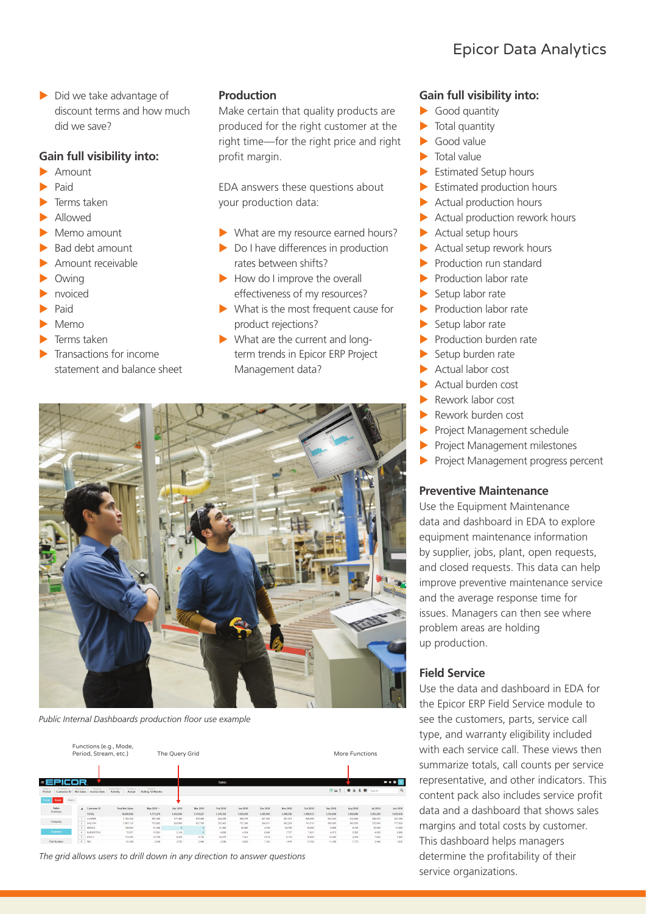$\triangleright$  Did we take advantage of discount terms and how much did we save?

#### **Gain full visibility into:**

- **Amount**
- Paid
- Terms taken
- X Allowed
- Memo amount
- Bad debt amount
- Amount receivable
- Owing
- nvoiced
- Paid
- Memo
- $\blacktriangleright$  Terms taken
- Transactions for income statement and balance sheet

#### **Production**

Make certain that quality products are produced for the right customer at the right time—for the right price and right profit margin.

EDA answers these questions about your production data:

- $\blacktriangleright$  What are my resource earned hours?
- $\triangleright$  Do I have differences in production rates between shifts?
- $\blacktriangleright$  How do I improve the overall effectiveness of my resources?
- $\blacktriangleright$  What is the most frequent cause for product rejections?
- $\blacktriangleright$  What are the current and longterm trends in Epicor ERP Project Management data?



*Public Internal Dashboards production floor use example*

| Functions (e.g., Mode,<br>Period, Stream, etc.)  |        |                                        |                                          |                                      |                    | The Query Grid                |            |           |           |                 |           | More Functions |           |           |                                       |           |           |
|--------------------------------------------------|--------|----------------------------------------|------------------------------------------|--------------------------------------|--------------------|-------------------------------|------------|-----------|-----------|-----------------|-----------|----------------|-----------|-----------|---------------------------------------|-----------|-----------|
|                                                  |        |                                        |                                          |                                      |                    |                               |            |           |           |                 |           |                |           |           |                                       |           |           |
| PICOR<br>- 5                                     |        |                                        |                                          |                                      |                    |                               |            |           | Sales     |                 |           |                |           |           |                                       |           | $P * Q E$ |
| Mode w.<br>Pennsylva w.<br>Period<br>Customer ID |        | Magazines <b>v</b><br><b>Net Sales</b> | <b>Finance</b> w.<br><b>Invoice Date</b> | <b>Lettutte Pilter +</b><br>Activity | Format v<br>Actual | Period w<br>Rolling 12 Months |            |           |           |                 |           |                |           |           | <b>EN Lait &amp; &amp; ± 0</b> Search |           | Q         |
| Resur<br>Foom.                                   | Matrix |                                        |                                          |                                      |                    |                               |            |           |           |                 |           |                |           |           |                                       |           |           |
| Seles<br>Summary                                 |        |                                        | 4 Customer ID                            | <b>Total Net Sales</b>               |                    | May 2019 *                    | Apr 2019   | Mar 2019  | Feb 2019  | <b>Jan 2019</b> | Dec 2018  | Nov 2018       | Oct 2018  | Sep 2018  | Aug 2018                              | Jul 2018  | Jun 2018  |
|                                                  |        |                                        | <b>TOTAL</b>                             |                                      | 12, 340, 353       | 1,773,279                     | 1,642,564  | 1,718,227 | 1.376.392 | 1.524.556       | 1,595,995 | 1,403,399      | 1,598,633 | 1,330,068 | 1,052,000                             | 1,363,200 | 1,655,818 |
| Company                                          |        |                                        | <b>CLARKE</b>                            |                                      | 7.182.335          | 967,450                       | 811,493    | 878,699   | 254,209   | 585,279         | 627,383   | 581,351        | 645,895   | 522,553   | 612,645                               | 348,016   | 347,394   |
|                                                  |        | $\overline{2}$                         | <b>DALTON</b>                            |                                      | 7.987.135          | 753, 692                      | 620,000    | 827.789   | 335.403   | 727.246         | 580,911   | 662.254        | 741,510   | 560,905   | 663,565                               | 735,940   | 777,920   |
|                                                  |        | $\overline{a}$                         | KENCO                                    |                                      | 149,932            | 21250                         | $^{\circ}$ |           | 21,450    | 20,482          | 4,750     | 24,750         | 16.000    | 9,000     | 9,750                                 | 10.500    | 12,000    |
| Customer                                         |        | ×                                      | <b>BARRISTON</b>                         |                                      | 72,971             | 15,581                        | 2.124      |           | 4.898     | 4.354           | 6.849     | 7.727          | 7.421     | 4,973     | 5.585                                 | 4.858     | 8,606     |
|                                                  |        | $\overline{5}$                         | <b>ECD-A</b>                             |                                      | 113,550            | 12,760                        | 8.228      | 5.742     | 24,576    | 7.451           | 5.518     | 9.174          | 10.856    | 10:042    | 4.250                                 | 7.882     | 7.062     |
| Part Number                                      |        | 6                                      | <b>IMC</b>                               |                                      | 61,209             | 2,549                         | 3,752      | 2,948     | 2.546     | 6,502           | 7,102     | 1,474          | 11,792    | 11,256    | 7,772                                 | 2,454     | 1,035     |

*The grid allows users to drill down in any direction to answer questions*

#### **Gain full visibility into:**

- $\blacktriangleright$  Good quantity
- $\blacktriangleright$  Total quantity
- $\blacktriangleright$  Good value
- Total value
- Estimated Setup hours
- Estimated production hours
- Actual production hours
- Actual production rework hours
- Actual setup hours
- $\blacktriangleright$  Actual setup rework hours
- Production run standard
- $\blacktriangleright$  Production labor rate
- Setup labor rate
- $\blacktriangleright$  Production labor rate
- Setup labor rate
- $\blacktriangleright$  Production burden rate
- Setup burden rate
- $\blacktriangleright$  Actual labor cost
- X Actual burden cost
- Rework labor cost
- X Rework burden cost
- Project Management schedule
- Project Management milestones
- Project Management progress percent

#### **Preventive Maintenance**

Use the Equipment Maintenance data and dashboard in EDA to explore equipment maintenance information by supplier, jobs, plant, open requests, and closed requests. This data can help improve preventive maintenance service and the average response time for issues. Managers can then see where problem areas are holding up production.

#### **Field Service**

Use the data and dashboard in EDA for the Epicor ERP Field Service module to see the customers, parts, service call type, and warranty eligibility included with each service call. These views then summarize totals, call counts per service representative, and other indicators. This content pack also includes service profit data and a dashboard that shows sales margins and total costs by customer. This dashboard helps managers determine the profitability of their service organizations.

# Epicor Data Analytics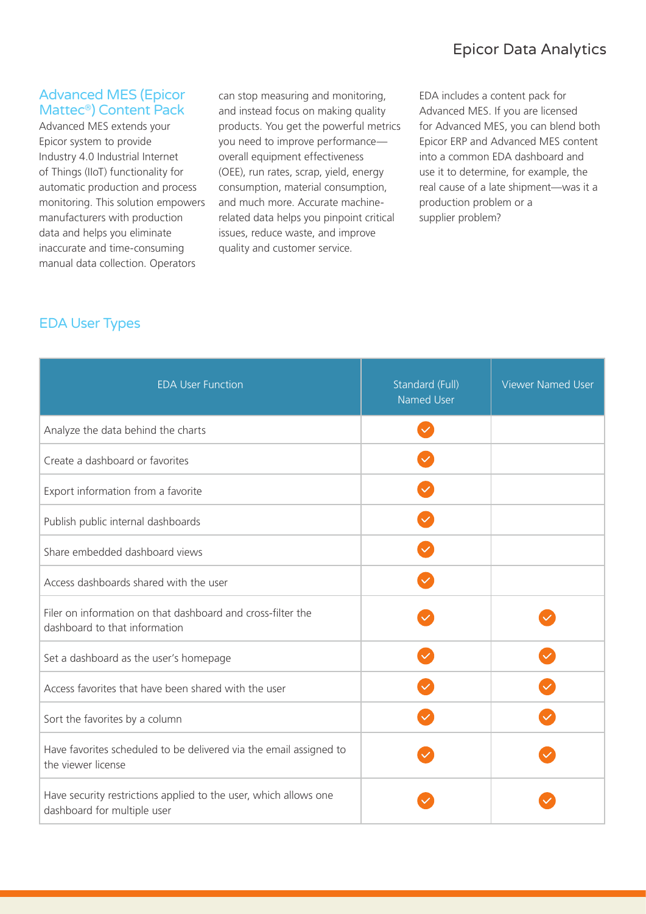## Advanced MES (Epicor Mattec®) Content Pack

Advanced MES extends your Epicor system to provide Industry 4.0 Industrial Internet of Things (IIoT) functionality for automatic production and process monitoring. This solution empowers manufacturers with production data and helps you eliminate inaccurate and time-consuming manual data collection. Operators

can stop measuring and monitoring, and instead focus on making quality products. You get the powerful metrics you need to improve performance overall equipment effectiveness (OEE), run rates, scrap, yield, energy consumption, material consumption, and much more. Accurate machinerelated data helps you pinpoint critical issues, reduce waste, and improve quality and customer service.

EDA includes a content pack for Advanced MES. If you are licensed for Advanced MES, you can blend both Epicor ERP and Advanced MES content into a common EDA dashboard and use it to determine, for example, the real cause of a late shipment—was it a production problem or a supplier problem?

# EDA User Types

| <b>EDA User Function</b>                                                                        | Standard (Full)<br>Named User | <b>Viewer Named User</b> |
|-------------------------------------------------------------------------------------------------|-------------------------------|--------------------------|
| Analyze the data behind the charts                                                              | $\checkmark$                  |                          |
| Create a dashboard or favorites                                                                 |                               |                          |
| Export information from a favorite                                                              |                               |                          |
| Publish public internal dashboards                                                              |                               |                          |
| Share embedded dashboard views                                                                  |                               |                          |
| Access dashboards shared with the user                                                          |                               |                          |
| Filer on information on that dashboard and cross-filter the<br>dashboard to that information    |                               |                          |
| Set a dashboard as the user's homepage                                                          |                               |                          |
| Access favorites that have been shared with the user                                            |                               |                          |
| Sort the favorites by a column                                                                  |                               |                          |
| Have favorites scheduled to be delivered via the email assigned to<br>the viewer license        |                               |                          |
| Have security restrictions applied to the user, which allows one<br>dashboard for multiple user |                               |                          |